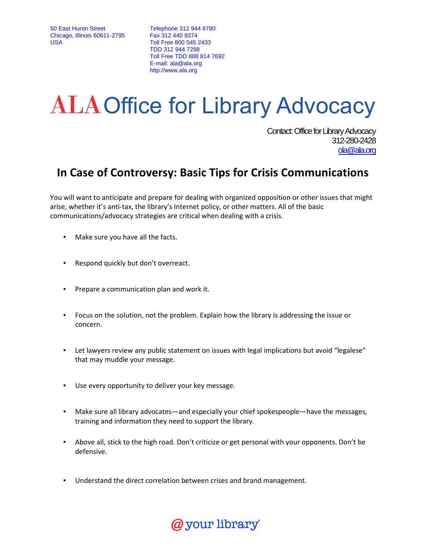50 East Huron Street Chicago, Illinois 60611-2795 USA

Telephone 312 944 6780 Fax 312 440 9374 Toll Free 800 545 2433 TDD 312 944 7298 Toll Free TDD 888 814 7692 E-mail: ala@ala.org http://www.ala.org

## ALA Office for Library Advocacy

Contact: Office for Library Advocacy 312-280-2428 ola@ala.org

## In Case of Controversy: Basic Tips for Crisis Communications

You will want to anticipate and prepare for dealing with organized opposition or other issues that might arise, whether it's anti-tax, the library's Internet policy, or other matters. All of the basic communications/advocacy strategies are critical when dealing with a crisis.

- Make sure you have all the facts.
- Respond quickly but don't overreact.
- Prepare a communication plan and work it.
- Focus on the solution, not the problem. Explain how the library is addressing the issue or concern.
- Let lawyers review any public statement on issues with legal implications but avoid "legalese" that may muddle your message.
- Use every opportunity to deliver your key message.
- Make sure all library advocates—and especially your chief spokespeople—have the messages, training and information they need to support the library.
- Above all, stick to the high road. Don't criticize or get personal with your opponents. Don't be defensive.
- Understand the direct correlation between crises and brand management.